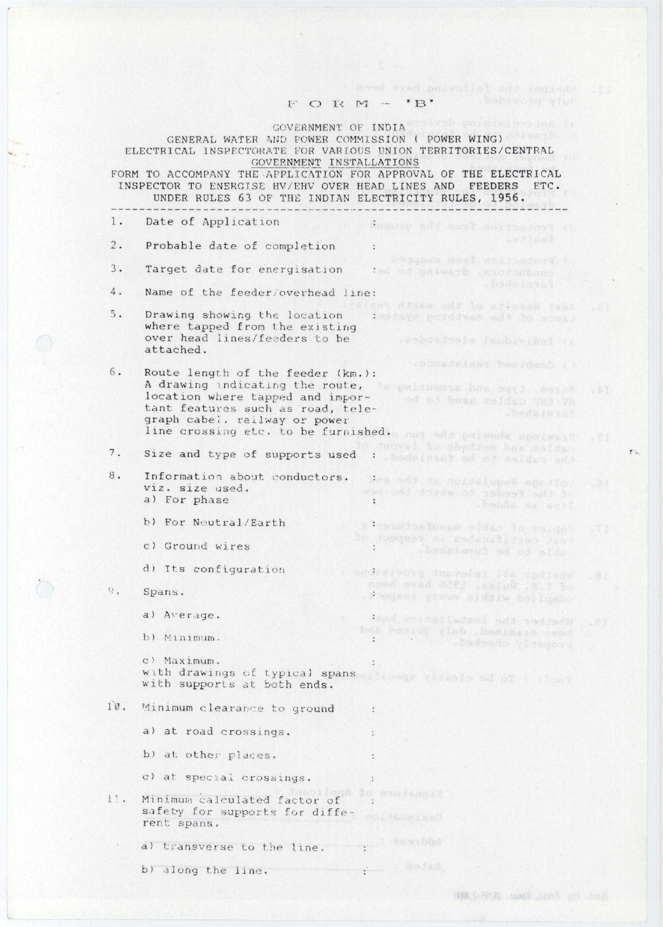## $\mathbf{F} \ \mathbf{O} \ \mathbf{R} \ \mathbf{M} \ = \ \mathbf{^*B}^* \qquad \qquad \text{for a set of } \mathbf{M} \text{ with } \mathbf{R}^* \label{eq:1}$

 $\mathbf{A}$ 

| GOVERNMENT OF INDIA BOOKER POLICERTS INA IN<br>GENERAL WATER AND POWER COMMISSION ( POWER WING)<br>ELECTRICAL INSPECTORATE FOR VARIOUS UNION TERRITORIES/CENTRAL<br>GOVERNMENT INSTALLATIONS<br>FORM TO ACCOMPANY THE APPLICATION FOR APPROVAL OF THE ELECTRICAL<br>INSPECTOR TO ENERGISE HV/EHV OVER HEAD LINES AND<br><b>FEEDERS</b><br>ETC.<br>UNDER RULES 63 OF THE INDIAN ELECTRICITY RULES, 1956. |                                                                                                                                           |                                                                                                                                                               |            |
|---------------------------------------------------------------------------------------------------------------------------------------------------------------------------------------------------------------------------------------------------------------------------------------------------------------------------------------------------------------------------------------------------------|-------------------------------------------------------------------------------------------------------------------------------------------|---------------------------------------------------------------------------------------------------------------------------------------------------------------|------------|
| 1.                                                                                                                                                                                                                                                                                                                                                                                                      | Date of Application                                                                                                                       | Saucie off mor? noi heidoi? (f.                                                                                                                               |            |
| 2.                                                                                                                                                                                                                                                                                                                                                                                                      | Probable date of completion                                                                                                               | .asimal<br>$\ddot{\phantom{a}}$                                                                                                                               |            |
| 3.                                                                                                                                                                                                                                                                                                                                                                                                      | Target date for energisation                                                                                                              | bequest most moitesdayq, a<br>conductors, drawing to bac<br>bedainin'.                                                                                        |            |
| 4.                                                                                                                                                                                                                                                                                                                                                                                                      | Name of the feeder/overhead line:                                                                                                         | Tast Results of the earth rasis                                                                                                                               |            |
| 5.                                                                                                                                                                                                                                                                                                                                                                                                      | Drawing showing the location<br>where tapped from the existing<br>over head lines/feeders to be<br>attached.                              | amedays purdinse add to some<br>.asbosdosla fambryibnI ().                                                                                                    |            |
| 6.                                                                                                                                                                                                                                                                                                                                                                                                      | Route length of the feeder (km.):                                                                                                         | . Somsjelaat benidmos ()                                                                                                                                      |            |
|                                                                                                                                                                                                                                                                                                                                                                                                         | A drawing indicating the route,<br>location where tapped and impor-<br>tant features such as road, tele-<br>graph cabel, railway or power | Signification and ought to put<br>od od beau seldsb VHB\VB<br>. Bedala ti                                                                                     |            |
| 7.                                                                                                                                                                                                                                                                                                                                                                                                      |                                                                                                                                           | line crossing etc. to be furnished. We set paintain apartment<br>to tunvel lo shoddem bas saids<br>Size and type of supports used : bedsided ad of saided and | 고 31       |
| 8.                                                                                                                                                                                                                                                                                                                                                                                                      | Information about conductors.<br>viz. size used.<br>a) For phase                                                                          | has add to notial upod spacifor<br>wan add douby at 186393 add 3.<br>. Babba ar anil                                                                          | $-2.1$     |
|                                                                                                                                                                                                                                                                                                                                                                                                         | b) For Neutral/Earth                                                                                                                      | strewPositor elder lo estent                                                                                                                                  | <b>STA</b> |
|                                                                                                                                                                                                                                                                                                                                                                                                         | c) Ground wires                                                                                                                           | to respections an respective                                                                                                                                  |            |
|                                                                                                                                                                                                                                                                                                                                                                                                         | d) Its configuration                                                                                                                      | lendia/voig dusvalet ils todiadw .Bi                                                                                                                          |            |
| 9.7                                                                                                                                                                                                                                                                                                                                                                                                     | Spans.                                                                                                                                    | of 1.2, hules, 1956 have been<br>. forgast visue niddle ballomet                                                                                              |            |
|                                                                                                                                                                                                                                                                                                                                                                                                         | a) Average.                                                                                                                               | tern nordsiladant add teddad9                                                                                                                                 |            |
|                                                                                                                                                                                                                                                                                                                                                                                                         | b) Minimum.                                                                                                                               | bas healof yinh bestmans naed<br>w bedrado viregory                                                                                                           |            |
|                                                                                                                                                                                                                                                                                                                                                                                                         | c) Maximum.<br>with drawings of typical spans please wissels ad of the form<br>with supports at both ends.                                |                                                                                                                                                               |            |
| 10.                                                                                                                                                                                                                                                                                                                                                                                                     | Minimum clearance to ground                                                                                                               |                                                                                                                                                               |            |
|                                                                                                                                                                                                                                                                                                                                                                                                         | a) at road crossings.                                                                                                                     |                                                                                                                                                               |            |
|                                                                                                                                                                                                                                                                                                                                                                                                         | b) at other places.                                                                                                                       |                                                                                                                                                               |            |
|                                                                                                                                                                                                                                                                                                                                                                                                         | c) at special crossings.                                                                                                                  |                                                                                                                                                               |            |
| 11.                                                                                                                                                                                                                                                                                                                                                                                                     | Minimum calculated factor of<br>safety for supports for diffe-<br>rent spans.                                                             | of toge lo statangie<br><b>ACLE FORD 25C</b>                                                                                                                  |            |
|                                                                                                                                                                                                                                                                                                                                                                                                         | a) transverse to the line.                                                                                                                | e Seathba                                                                                                                                                     |            |
|                                                                                                                                                                                                                                                                                                                                                                                                         | b) along the line.                                                                                                                        | betad                                                                                                                                                         |            |

 $\bigcap$ 

 $\mathbf{f}^{\star}_{\mathbf{m}}$